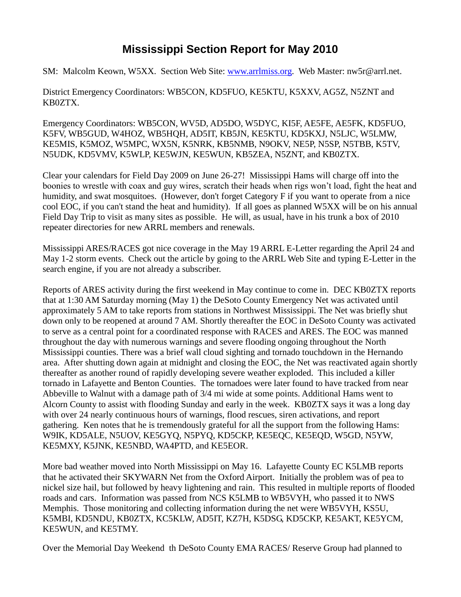## **Mississippi Section Report for May 2010**

SM: Malcolm Keown, W5XX. Section Web Site: [www.arrlmiss.org.](http://www.arrlmiss.org/) Web Master: nw5r@arrl.net.

District Emergency Coordinators: WB5CON, KD5FUO, KE5KTU, K5XXV, AG5Z, N5ZNT and KB0ZTX.

Emergency Coordinators: WB5CON, WV5D, AD5DO, W5DYC, KI5F, AE5FE, AE5FK, KD5FUO, K5FV, WB5GUD, W4HOZ, WB5HQH, AD5IT, KB5JN, KE5KTU, KD5KXJ, N5LJC, W5LMW, KE5MIS, K5MOZ, W5MPC, WX5N, K5NRK, KB5NMB, N9OKV, NE5P, N5SP, N5TBB, K5TV, N5UDK, KD5VMV, K5WLP, KE5WJN, KE5WUN, KB5ZEA, N5ZNT, and KB0ZTX.

Clear your calendars for Field Day 2009 on June 26-27! Mississippi Hams will charge off into the boonies to wrestle with coax and guy wires, scratch their heads when rigs won't load, fight the heat and humidity, and swat mosquitoes. (However, don't forget Category F if you want to operate from a nice cool EOC, if you can't stand the heat and humidity). If all goes as planned W5XX will be on his annual Field Day Trip to visit as many sites as possible. He will, as usual, have in his trunk a box of 2010 repeater directories for new ARRL members and renewals.

Mississippi ARES/RACES got nice coverage in the May 19 ARRL E-Letter regarding the April 24 and May 1-2 storm events. Check out the article by going to the ARRL Web Site and typing E-Letter in the search engine, if you are not already a subscriber.

Reports of ARES activity during the first weekend in May continue to come in. DEC KB0ZTX reports that at 1:30 AM Saturday morning (May 1) the DeSoto County Emergency Net was activated until approximately 5 AM to take reports from stations in Northwest Mississippi. The Net was briefly shut down only to be reopened at around 7 AM. Shortly thereafter the EOC in DeSoto County was activated to serve as a central point for a coordinated response with RACES and ARES. The EOC was manned throughout the day with numerous warnings and severe flooding ongoing throughout the North Mississippi counties. There was a brief wall cloud sighting and tornado touchdown in the Hernando area. After shutting down again at midnight and closing the EOC, the Net was reactivated again shortly thereafter as another round of rapidly developing severe weather exploded. This included a killer tornado in Lafayette and Benton Counties. The tornadoes were later found to have tracked from near Abbeville to Walnut with a damage path of 3/4 mi wide at some points. Additional Hams went to Alcorn County to assist with flooding Sunday and early in the week. KB0ZTX says it was a long day with over 24 nearly continuous hours of warnings, flood rescues, siren activations, and report gathering. Ken notes that he is tremendously grateful for all the support from the following Hams: W9IK, KD5ALE, N5UOV, KE5GYQ, N5PYQ, KD5CKP, KE5EQC, KE5EQD, W5GD, N5YW, KE5MXY, K5JNK, KE5NBD, WA4PTD, and KE5EOR.

More bad weather moved into North Mississippi on May 16. Lafayette County EC K5LMB reports that he activated their SKYWARN Net from the Oxford Airport. Initially the problem was of pea to nickel size hail, but followed by heavy lightening and rain. This resulted in multiple reports of flooded roads and cars. Information was passed from NCS K5LMB to WB5VYH, who passed it to NWS Memphis. Those monitoring and collecting information during the net were WB5VYH, KS5U, K5MBI, KD5NDU, KB0ZTX, KC5KLW, AD5IT, KZ7H, K5DSG, KD5CKP, KE5AKT, KE5YCM, KE5WUN, and KE5TMY.

Over the Memorial Day Weekend th DeSoto County EMA RACES/ Reserve Group had planned to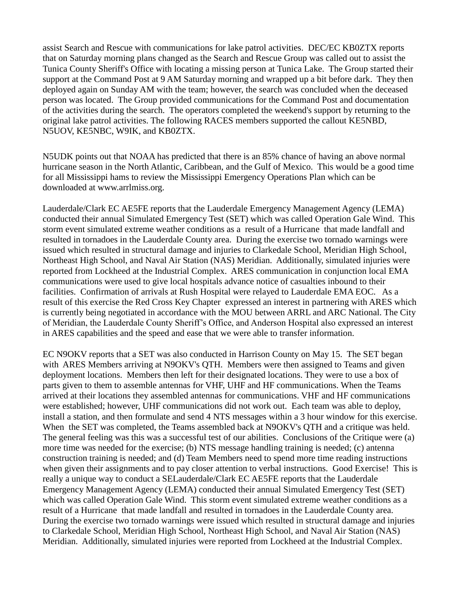assist Search and Rescue with communications for lake patrol activities. DEC/EC KB0ZTX reports that on Saturday morning plans changed as the Search and Rescue Group was called out to assist the Tunica County Sheriff's Office with locating a missing person at Tunica Lake. The Group started their support at the Command Post at 9 AM Saturday morning and wrapped up a bit before dark. They then deployed again on Sunday AM with the team; however, the search was concluded when the deceased person was located. The Group provided communications for the Command Post and documentation of the activities during the search. The operators completed the weekend's support by returning to the original lake patrol activities. The following RACES members supported the callout KE5NBD, N5UOV, KE5NBC, W9IK, and KB0ZTX.

N5UDK points out that NOAA has predicted that there is an 85% chance of having an above normal hurricane season in the North Atlantic, Caribbean, and the Gulf of Mexico. This would be a good time for all Mississippi hams to review the Mississippi Emergency Operations Plan which can be downloaded at www.arrlmiss.org.

Lauderdale/Clark EC AE5FE reports that the Lauderdale Emergency Management Agency (LEMA) conducted their annual Simulated Emergency Test (SET) which was called Operation Gale Wind. This storm event simulated extreme weather conditions as a result of a Hurricane that made landfall and resulted in tornadoes in the Lauderdale County area. During the exercise two tornado warnings were issued which resulted in structural damage and injuries to Clarkedale School, Meridian High School, Northeast High School, and Naval Air Station (NAS) Meridian. Additionally, simulated injuries were reported from Lockheed at the Industrial Complex. ARES communication in conjunction local EMA communications were used to give local hospitals advance notice of casualties inbound to their facilities. Confirmation of arrivals at Rush Hospital were relayed to Lauderdale EMA EOC. As a result of this exercise the Red Cross Key Chapter expressed an interest in partnering with ARES which is currently being negotiated in accordance with the MOU between ARRL and ARC National. The City of Meridian, the Lauderdale County Sheriff's Office, and Anderson Hospital also expressed an interest in ARES capabilities and the speed and ease that we were able to transfer information.

EC N9OKV reports that a SET was also conducted in Harrison County on May 15. The SET began with ARES Members arriving at N9OKV's QTH. Members were then assigned to Teams and given deployment locations. Members then left for their designated locations. They were to use a box of parts given to them to assemble antennas for VHF, UHF and HF communications. When the Teams arrived at their locations they assembled antennas for communications. VHF and HF communications were established; however, UHF communications did not work out. Each team was able to deploy, install a station, and then formulate and send 4 NTS messages within a 3 hour window for this exercise. When the SET was completed, the Teams assembled back at N9OKV's QTH and a critique was held. The general feeling was this was a successful test of our abilities. Conclusions of the Critique were (a) more time was needed for the exercise; (b) NTS message handling training is needed; (c) antenna construction training is needed; and (d) Team Members need to spend more time reading instructions when given their assignments and to pay closer attention to verbal instructions. Good Exercise! This is really a unique way to conduct a SELauderdale/Clark EC AE5FE reports that the Lauderdale Emergency Management Agency (LEMA) conducted their annual Simulated Emergency Test (SET) which was called Operation Gale Wind. This storm event simulated extreme weather conditions as a result of a Hurricane that made landfall and resulted in tornadoes in the Lauderdale County area. During the exercise two tornado warnings were issued which resulted in structural damage and injuries to Clarkedale School, Meridian High School, Northeast High School, and Naval Air Station (NAS) Meridian. Additionally, simulated injuries were reported from Lockheed at the Industrial Complex.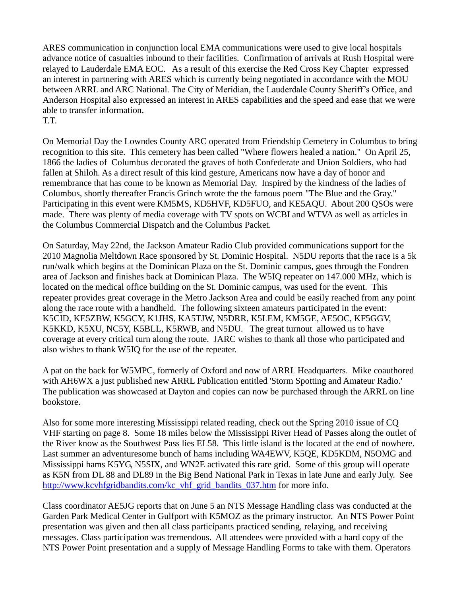ARES communication in conjunction local EMA communications were used to give local hospitals advance notice of casualties inbound to their facilities. Confirmation of arrivals at Rush Hospital were relayed to Lauderdale EMA EOC. As a result of this exercise the Red Cross Key Chapter expressed an interest in partnering with ARES which is currently being negotiated in accordance with the MOU between ARRL and ARC National. The City of Meridian, the Lauderdale County Sheriff's Office, and Anderson Hospital also expressed an interest in ARES capabilities and the speed and ease that we were able to transfer information.

T.T.

On Memorial Day the Lowndes County ARC operated from Friendship Cemetery in Columbus to bring recognition to this site. This cemetery has been called "Where flowers healed a nation." On April 25, 1866 the ladies of Columbus decorated the graves of both Confederate and Union Soldiers, who had fallen at Shiloh. As a direct result of this kind gesture, Americans now have a day of honor and remembrance that has come to be known as Memorial Day. Inspired by the kindness of the ladies of Columbus, shortly thereafter Francis Grinch wrote the the famous poem "The Blue and the Gray." Participating in this event were KM5MS, KD5HVF, KD5FUO, and KE5AQU. About 200 QSOs were made. There was plenty of media coverage with TV spots on WCBI and WTVA as well as articles in the Columbus Commercial Dispatch and the Columbus Packet.

On Saturday, May 22nd, the Jackson Amateur Radio Club provided communications support for the 2010 Magnolia Meltdown Race sponsored by St. Dominic Hospital. N5DU reports that the race is a 5k run/walk which begins at the Dominican Plaza on the St. Dominic campus, goes through the Fondren area of Jackson and finishes back at Dominican Plaza. The W5IQ repeater on 147.000 MHz, which is located on the medical office building on the St. Dominic campus, was used for the event. This repeater provides great coverage in the Metro Jackson Area and could be easily reached from any point along the race route with a handheld. The following sixteen amateurs participated in the event: K5CID, KE5ZBW, K5GCY, K1JHS, KA5TJW, N5DRR, K5LEM, KM5GE, AE5OC, KF5GGV, K5KKD, K5XU, NC5Y, K5BLL, K5RWB, and N5DU. The great turnout allowed us to have coverage at every critical turn along the route. JARC wishes to thank all those who participated and also wishes to thank W5IQ for the use of the repeater.

A pat on the back for W5MPC, formerly of Oxford and now of ARRL Headquarters. Mike coauthored with AH6WX a just published new ARRL Publication entitled 'Storm Spotting and Amateur Radio.' The publication was showcased at Dayton and copies can now be purchased through the ARRL on line bookstore.

Also for some more interesting Mississippi related reading, check out the Spring 2010 issue of CQ VHF starting on page 8. Some 18 miles below the Mississippi River Head of Passes along the outlet of the River know as the Southwest Pass lies EL58. This little island is the located at the end of nowhere. Last summer an adventuresome bunch of hams including WA4EWV, K5QE, KD5KDM, N5OMG and Mississippi hams K5YG, N5SIX, and WN2E activated this rare grid. Some of this group will operate as K5N from DL 88 and DL89 in the Big Bend National Park in Texas in late June and early July. See [http://www.kcvhfgridbandits.com/kc\\_vhf\\_grid\\_bandits\\_037.htm](http://www.kcvhfgridbandits.com/kc_vhf_grid_bandits_037.htm) for more info.

Class coordinator AE5JG reports that on June 5 an NTS Message Handling class was conducted at the Garden Park Medical Center in Gulfport with K5MOZ as the primary instructor. An NTS Power Point presentation was given and then all class participants practiced sending, relaying, and receiving messages. Class participation was tremendous. All attendees were provided with a hard copy of the NTS Power Point presentation and a supply of Message Handling Forms to take with them. Operators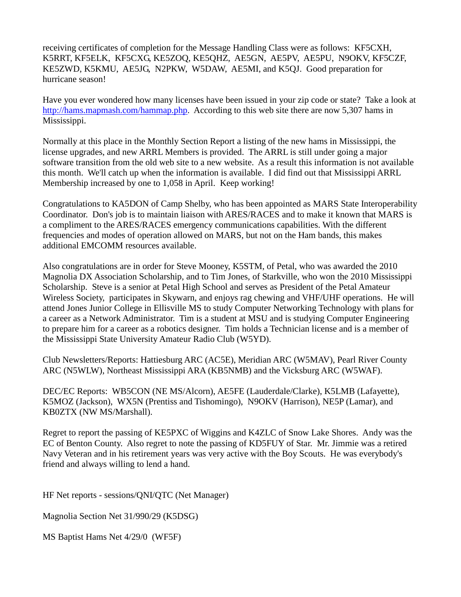receiving certificates of completion for the Message Handling Class were as follows: KF5CXH, K5RRT, KF5ELK, KF5CXG, KE5ZOQ, KE5QHZ, AE5GN, AE5PV, AE5PU, N9OKV, KF5CZF, KE5ZWD, K5KMU, AE5JG, N2PKW, W5DAW, AE5MI, and K5QJ. Good preparation for hurricane season!

Have you ever wondered how many licenses have been issued in your zip code or state? Take a look at [http://hams.mapmash.com/hammap.php.](http://hams.mapmash.com/hammap.php) According to this web site there are now 5,307 hams in Mississippi.

Normally at this place in the Monthly Section Report a listing of the new hams in Mississippi, the license upgrades, and new ARRL Members is provided. The ARRL is still under going a major software transition from the old web site to a new website. As a result this information is not available this month. We'll catch up when the information is available. I did find out that Mississippi ARRL Membership increased by one to 1,058 in April. Keep working!

Congratulations to KA5DON of Camp Shelby, who has been appointed as MARS State Interoperability Coordinator. Don's job is to maintain liaison with ARES/RACES and to make it known that MARS is a compliment to the ARES/RACES emergency communications capabilities. With the different frequencies and modes of operation allowed on MARS, but not on the Ham bands, this makes additional EMCOMM resources available.

Also congratulations are in order for Steve Mooney, K5STM, of Petal, who was awarded the 2010 Magnolia DX Association Scholarship, and to Tim Jones, of Starkville, who won the 2010 Mississippi Scholarship. Steve is a senior at Petal High School and serves as President of the Petal Amateur Wireless Society, participates in Skywarn, and enjoys rag chewing and VHF/UHF operations. He will attend Jones Junior College in Ellisville MS to study Computer Networking Technology with plans for a career as a Network Administrator. Tim is a student at MSU and is studying Computer Engineering to prepare him for a career as a robotics designer. Tim holds a Technician license and is a member of the Mississippi State University Amateur Radio Club (W5YD).

Club Newsletters/Reports: Hattiesburg ARC (AC5E), Meridian ARC (W5MAV), Pearl River County ARC (N5WLW), Northeast Mississippi ARA (KB5NMB) and the Vicksburg ARC (W5WAF).

DEC/EC Reports: WB5CON (NE MS/Alcorn), AE5FE (Lauderdale/Clarke), K5LMB (Lafayette), K5MOZ (Jackson), WX5N (Prentiss and Tishomingo), N9OKV (Harrison), NE5P (Lamar), and KB0ZTX (NW MS/Marshall).

Regret to report the passing of KE5PXC of Wiggins and K4ZLC of Snow Lake Shores. Andy was the EC of Benton County. Also regret to note the passing of KD5FUY of Star. Mr. Jimmie was a retired Navy Veteran and in his retirement years was very active with the Boy Scouts. He was everybody's friend and always willing to lend a hand.

HF Net reports - sessions/QNI/QTC (Net Manager)

Magnolia Section Net 31/990/29 (K5DSG)

MS Baptist Hams Net 4/29/0 (WF5F)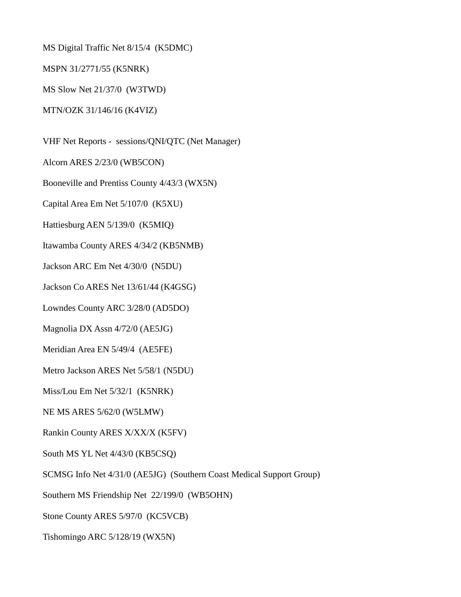MS Digital Traffic Net 8/15/4 (K5DMC)

MSPN 31/2771/55 (K5NRK)

MS Slow Net 21/37/0 (W3TWD)

MTN/OZK 31/146/16 (K4VIZ)

VHF Net Reports - sessions/QNI/QTC (Net Manager)

Alcorn ARES 2/23/0 (WB5CON)

Booneville and Prentiss County 4/43/3 (WX5N)

Capital Area Em Net 5/107/0 (K5XU)

Hattiesburg AEN 5/139/0 (K5MIQ)

Itawamba County ARES 4/34/2 (KB5NMB)

Jackson ARC Em Net 4/30/0 (N5DU)

Jackson Co ARES Net 13/61/44 (K4GSG)

Lowndes County ARC 3/28/0 (AD5DO)

Magnolia DX Assn 4/72/0 (AE5JG)

Meridian Area EN 5/49/4 (AE5FE)

Metro Jackson ARES Net 5/58/1 (N5DU)

Miss/Lou Em Net 5/32/1 (K5NRK)

NE MS ARES 5/62/0 (W5LMW)

Rankin County ARES X/XX/X (K5FV)

South MS YL Net 4/43/0 (KB5CSQ)

SCMSG Info Net 4/31/0 (AE5JG) (Southern Coast Medical Support Group)

Southern MS Friendship Net 22/199/0 (WB5OHN)

Stone County ARES 5/97/0 (KC5VCB)

Tishomingo ARC 5/128/19 (WX5N)